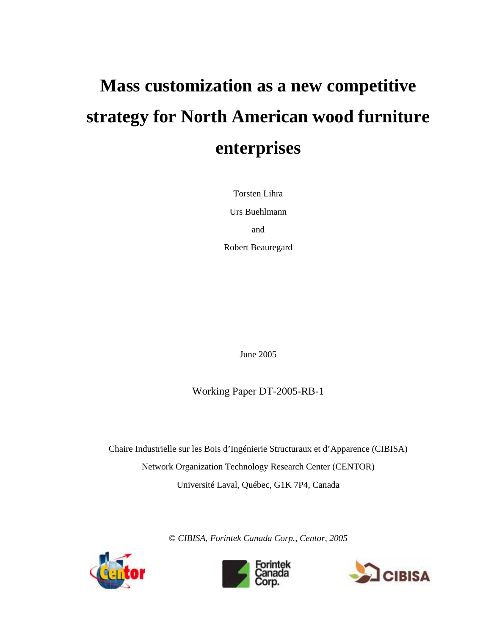# **Mass customization as a new competitive strategy for North American wood furniture enterprises**

Torsten Lihra Urs Buehlmann and Robert Beauregard

June 2005

Working Paper DT-2005-RB-1

Chaire Industrielle sur les Bois d'Ingénierie Structuraux et d'Apparence (CIBISA) Network Organization Technology Research Center (CENTOR) Université Laval, Québec, G1K 7P4, Canada

© *CIBISA, Forintek Canada Corp., Centor, 2005* 





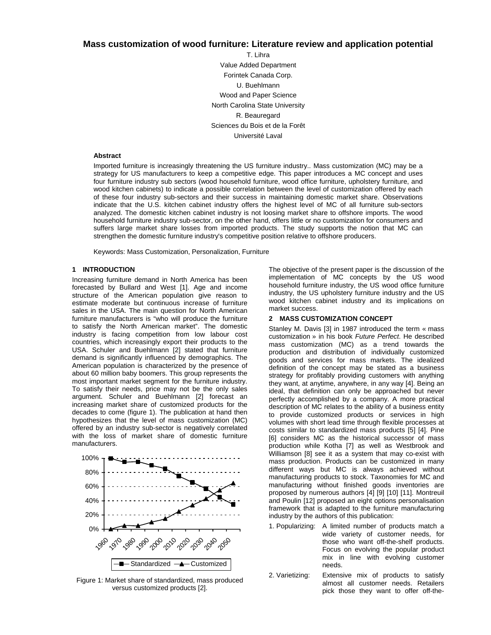# **Mass customization of wood furniture: Literature review and application potential**

T. Lihra Value Added Department Forintek Canada Corp. U. Buehlmann Wood and Paper Science North Carolina State University R. Beauregard Sciences du Bois et de la Forêt Université Laval

#### **Abstract**

Imported furniture is increasingly threatening the US furniture industry.. Mass customization (MC) may be a strategy for US manufacturers to keep a competitive edge. This paper introduces a MC concept and uses four furniture industry sub sectors (wood household furniture, wood office furniture, upholstery furniture, and wood kitchen cabinets) to indicate a possible correlation between the level of customization offered by each of these four industry sub-sectors and their success in maintaining domestic market share. Observations indicate that the U.S. kitchen cabinet industry offers the highest level of MC of all furniture sub-sectors analyzed. The domestic kitchen cabinet industry is not loosing market share to offshore imports. The wood household furniture industry sub-sector, on the other hand, offers little or no customization for consumers and suffers large market share losses from imported products. The study supports the notion that MC can strengthen the domestic furniture industry's competitive position relative to offshore producers.

Keywords: Mass Customization, Personalization, Furniture

#### **1 INTRODUCTION**

Increasing furniture demand in North America has been forecasted by Bullard and West [1]. Age and income structure of the American population give reason to estimate moderate but continuous increase of furniture sales in the USA. The main question for North American furniture manufacturers is "who will produce the furniture to satisfy the North American market". The domestic industry is facing competition from low labour cost countries, which increasingly export their products to the USA. Schuler and Buehlmann [2] stated that furniture demand is significantly influenced by demographics. The American population is characterized by the presence of about 60 million baby boomers. This group represents the most important market segment for the furniture industry. To satisfy their needs, price may not be the only sales argument. Schuler and Buehlmann [2] forecast an increasing market share of customized products for the decades to come (figure 1). The publication at hand then hypothesizes that the level of mass customization (MC) offered by an industry sub-sector is negatively correlated with the loss of market share of domestic furniture manufacturers.



Figure 1: Market share of standardized, mass produced versus customized products [2].

The objective of the present paper is the discussion of the implementation of MC concepts by the US wood household furniture industry, the US wood office furniture industry, the US upholstery furniture industry and the US wood kitchen cabinet industry and its implications on market success.

#### **2 MASS CUSTOMIZATION CONCEPT**

Stanley M. Davis [3] in 1987 introduced the term « mass customization » in his book *Future Perfect*. He described mass customization (MC) as a trend towards the production and distribution of individually customized goods and services for mass markets. The idealized definition of the concept may be stated as a business strategy for profitably providing customers with anything they want, at anytime, anywhere, in any way [4]. Being an ideal, that definition can only be approached but never perfectly accomplished by a company. A more practical description of MC relates to the ability of a business entity to provide customized products or services in high volumes with short lead time through flexible processes at costs similar to standardized mass products [5] [4]. Pine [6] considers MC as the historical successor of mass production while Kotha [7] as well as Westbrook and Williamson [8] see it as a system that may co-exist with mass production. Products can be customized in many different ways but MC is always achieved without manufacturing products to stock. Taxonomies for MC and manufacturing without finished goods inventories are proposed by numerous authors [4] [9] [10] [11]. Montreuil and Poulin [12] proposed an eight options personalisation framework that is adapted to the furniture manufacturing industry by the authors of this publication:

- 1. Popularizing: A limited number of products match a wide variety of customer needs, for those who want off-the-shelf products. Focus on evolving the popular product mix in line with evolving customer needs.
- 2. Varietizing: Extensive mix of products to satisfy almost all customer needs. Retailers pick those they want to offer off-the-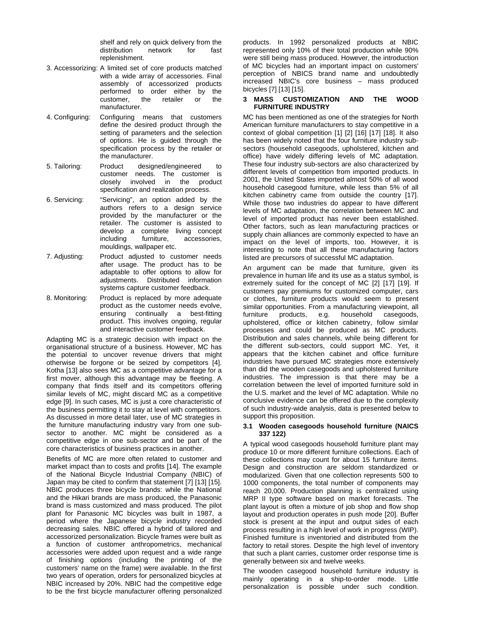shelf and rely on quick delivery from the distribution network for fast replenishment.

- 3. Accessorizing: A limited set of core products matched with a wide array of accessories. Final assembly of accessorized products performed to order either by the customer, the retailer or the manufacturer.
- 4. Configuring: Configuring means that customers define the desired product through the setting of parameters and the selection of options. He is guided through the specification process by the retailer or the manufacturer.
- 5. Tailoring: Product designed/engineered to customer needs. The customer is closely involved in the product specification and realization process.
- 6. Servicing: "Servicing", an option added by the authors refers to a design service provided by the manufacturer or the retailer. The customer is assisted to develop a complete living concept including furniture, accessories, mouldings, wallpaper etc.
- 7. Adjusting: Product adjusted to customer needs after usage. The product has to be adaptable to offer options to allow for adjustments. Distributed information systems capture customer feedback.
- 8. Monitoring: Product is replaced by more adequate product as the customer needs evolve, ensuring continually a best-fitting product. This involves ongoing, regular and interactive customer feedback.

Adapting MC is a strategic decision with impact on the organisational structure of a business. However, MC has the potential to uncover revenue drivers that might otherwise be forgone or be seized by competitors [4]. Kotha [13] also sees MC as a competitive advantage for a first mover, although this advantage may be fleeting. A company that finds itself and its competitors offering similar levels of MC, might discard MC as a competitive edge [9]. In such cases, MC is just a core characteristic of the business permitting it to stay at level with competitors. As discussed in more detail later, use of MC strategies in the furniture manufacturing industry vary from one subsector to another. MC might be considered as a competitive edge in one sub-sector and be part of the core characteristics of business practices in another.

Benefits of MC are more often related to customer and market impact than to costs and profits [14]. The example of the National Bicycle Industrial Company (NBIC) of Japan may be cited to confirm that statement [7] [13] [15]. NBIC produces three bicycle brands: while the National and the Hikari brands are mass produced, the Panasonic brand is mass customized and mass produced. The pilot plant for Panasonic MC bicycles was built in 1987, a period where the Japanese bicycle industry recorded decreasing sales. NBIC offered a hybrid of tailored and accessorized personalization. Bicycle frames were built as a function of customer anthropometrics, mechanical accessories were added upon request and a wide range of finishing options (including the printing of the customers' name on the frame) were available. In the first two years of operation, orders for personalized bicycles at NBIC increased by 20%. NBIC had the competitive edge to be the first bicycle manufacturer offering personalized

products. In 1992 personalized products at NBIC represented only 10% of their total production while 90% were still being mass produced. However, the introduction of MC bicycles had an important impact on customers' perception of NBICS brand name and undoubtedly increased NBIC's core business – mass produced bicycles [7] [13] [15].

#### **3 MASS CUSTOMIZATION AND THE WOOD FURNITURE INDUSTRY**

MC has been mentioned as one of the strategies for North American furniture manufacturers to stay competitive in a context of global competition [1] [2] [16] [17] [18]. It also has been widely noted that the four furniture industry subsectors (household casegoods, upholstered, kitchen and office) have widely differing levels of MC adaptation. These four industry sub-sectors are also characterized by different levels of competition from imported products. In 2001, the United States imported almost 50% of all wood household casegood furniture, while less than 5% of all kitchen cabinetry came from outside the country [17]. While those two industries do appear to have different levels of MC adaptation, the correlation between MC and level of imported product has never been established. Other factors, such as lean manufacturing practices or supply chain alliances are commonly expected to have an impact on the level of imports, too. However, it is interesting to note that all these manufacturing factors listed are precursors of successful MC adaptation.

An argument can be made that furniture, given its prevalence in human life and its use as a status symbol, is extremely suited for the concept of MC [2] [17] [19]. If customers pay premiums for customized computer, cars or clothes, furniture products would seem to present similar opportunities. From a manufacturing viewpoint, all furniture products, e.g. household casegoods, upholstered, office or kitchen cabinetry, follow similar processes and could be produced as MC products. Distribution and sales channels, while being different for the different sub-sectors, could support MC. Yet, it appears that the kitchen cabinet and office furniture industries have pursued MC strategies more extensively than did the wooden casegoods and upholstered furniture industries. The impression is that there may be a correlation between the level of imported furniture sold in the U.S. market and the level of MC adaptation. While no conclusive evidence can be offered due to the complexity of such industry-wide analysis, data is presented below to support this proposition.

#### **3.1 Wooden casegoods household furniture (NAICS 337 122)**

A typical wood casegoods household furniture plant may produce 10 or more different furniture collections. Each of these collections may count for about 15 furniture items. Design and construction are seldom standardized or modularized. Given that one collection represents 500 to 1000 components, the total number of components may reach 20,000. Production planning is centralized using MRP II type software based on market forecasts. The plant layout is often a mixture of job shop and flow shop layout and production operates in push mode [20]. Buffer stock is present at the input and output sides of each process resulting in a high level of work in progress (WIP). Finished furniture is inventoried and distributed from the factory to retail stores. Despite the high level of inventory that such a plant carries, customer order response time is generally between six and twelve weeks.

The wooden casegood household furniture industry is mainly operating in a ship-to-order mode. Little personalization is possible under such condition.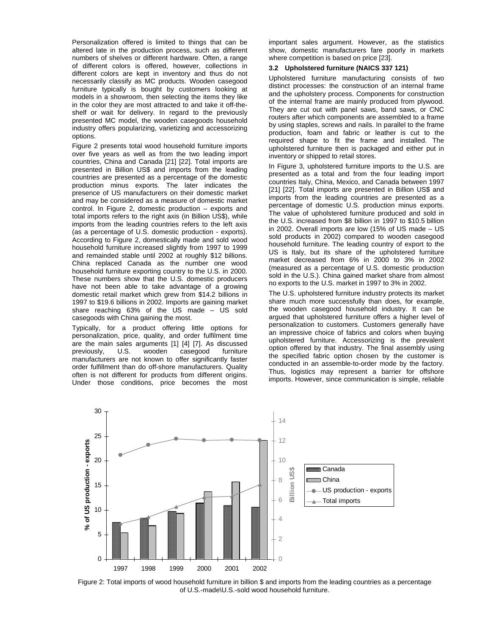Personalization offered is limited to things that can be altered late in the production process, such as different numbers of shelves or different hardware. Often, a range of different colors is offered, however, collections in different colors are kept in inventory and thus do not necessarily classify as MC products. Wooden casegood furniture typically is bought by customers looking at models in a showroom, then selecting the items they like in the color they are most attracted to and take it off-theshelf or wait for delivery. In regard to the previously presented MC model, the wooden casegoods household industry offers popularizing, varietizing and accessorizing options.

Figure 2 presents total wood household furniture imports over five years as well as from the two leading import countries, China and Canada [21] [22]. Total imports are presented in Billion US\$ and imports from the leading countries are presented as a percentage of the domestic production minus exports. The later indicates the presence of US manufacturers on their domestic market and may be considered as a measure of domestic market control. In Figure 2, domestic production – exports and total imports refers to the right axis (in Billion US\$), while imports from the leading countries refers to the left axis (as a percentage of U.S. domestic production - exports). According to Figure 2, domestically made and sold wood household furniture increased slightly from 1997 to 1999 and remainded stable until 2002 at roughly \$12 billions. China replaced Canada as the number one wood household furniture exporting country to the U.S. in 2000. These numbers show that the U.S. domestic producers have not been able to take advantage of a growing domestic retail market which grew from \$14.2 billions in 1997 to \$19.6 billions in 2002. Imports are gaining market share reaching 63% of the US made – US sold casegoods with China gaining the most.

Typically, for a product offering little options for personalization, price, quality, and order fulfilment time are the main sales arguments [1] [4] [7]. As discussed previously, U.S. wooden casegood furniture manufacturers are not known to offer significantly faster order fulfillment than do off-shore manufacturers. Quality often is not different for products from different origins. Under those conditions, price becomes the most important sales argument. However, as the statistics show, domestic manufacturers fare poorly in markets where competition is based on price [23].

## **3.2 Upholstered furniture (NAICS 337 121)**

Upholstered furniture manufacturing consists of two distinct processes: the construction of an internal frame and the upholstery process. Components for construction of the internal frame are mainly produced from plywood. They are cut out with panel saws, band saws, or CNC routers after which components are assembled to a frame by using staples, screws and nails. In parallel to the frame production, foam and fabric or leather is cut to the required shape to fit the frame and installed. The upholstered furniture then is packaged and either put in inventory or shipped to retail stores.

In Figure 3, upholstered furniture imports to the U.S. are presented as a total and from the four leading import countries Italy, China, Mexico, and Canada between 1997 [21] [22]. Total imports are presented in Billion US\$ and imports from the leading countries are presented as a percentage of domestic U.S. production minus exports. The value of upholstered furniture produced and sold in the U.S. increased from \$8 billion in 1997 to \$10.5 billion in 2002. Overall imports are low (15% of US made – US sold products in 2002) compared to wooden casegood household furniture. The leading country of export to the US is Italy, but its share of the upholstered furniture market decreased from 6% in 2000 to 3% in 2002 (measured as a percentage of U.S. domestic production sold in the U.S.). China gained market share from almost no exports to the U.S. market in 1997 to 3% in 2002.

The U.S. upholstered furniture industry protects its market share much more successfully than does, for example, the wooden casegood household industry. It can be argued that upholstered furniture offers a higher level of personalization to customers. Customers generally have an impressive choice of fabrics and colors when buying upholstered furniture. Accessorizing is the prevalent option offered by that industry. The final assembly using the specified fabric option chosen by the customer is conducted in an assemble-to-order mode by the factory. Thus, logistics may represent a barrier for offshore imports. However, since communication is simple, reliable



Figure 2: Total imports of wood household furniture in billion \$ and imports from the leading countries as a percentage of U.S.-made\U.S.-sold wood household furniture.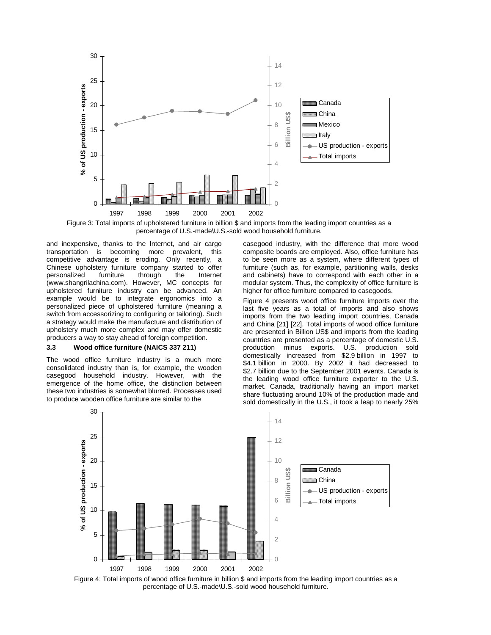

Figure 3: Total imports of upholstered furniture in billion \$ and imports from the leading import countries as a percentage of U.S.-made\U.S.-sold wood household furniture.

and inexpensive, thanks to the Internet, and air cargo transportation is becoming more prevalent, this competitive advantage is eroding. Only recently, a Chinese upholstery furniture company started to offer personalized furniture through the Internet (www.shangrilachina.com). However, MC concepts for upholstered furniture industry can be advanced. An example would be to integrate ergonomics into a personalized piece of upholstered furniture (meaning a switch from accessorizing to configuring or tailoring). Such a strategy would make the manufacture and distribution of upholstery much more complex and may offer domestic producers a way to stay ahead of foreign competition.

### **3.3 Wood office furniture (NAICS 337 211)**

The wood office furniture industry is a much more consolidated industry than is, for example, the wooden casegood household industry. However, with the emergence of the home office, the distinction between these two industries is somewhat blurred. Processes used to produce wooden office furniture are similar to the

casegood industry, with the difference that more wood composite boards are employed. Also, office furniture has to be seen more as a system, where different types of furniture (such as, for example, partitioning walls, desks and cabinets) have to correspond with each other in a modular system. Thus, the complexity of office furniture is higher for office furniture compared to casegoods.

Figure 4 presents wood office furniture imports over the last five years as a total of imports and also shows imports from the two leading import countries, Canada and China [21] [22]. Total imports of wood office furniture are presented in Billion US\$ and imports from the leading countries are presented as a percentage of domestic U.S. production minus exports. U.S. production sold domestically increased from \$2.9 billion in 1997 to \$4.1 billion in 2000. By 2002 it had decreased to \$2.7 billion due to the September 2001 events. Canada is the leading wood office furniture exporter to the U.S. market. Canada, traditionally having an import market share fluctuating around 10% of the production made and sold domestically in the U.S., it took a leap to nearly 25%



Figure 4: Total imports of wood office furniture in billion \$ and imports from the leading import countries as a percentage of U.S.-made\U.S.-sold wood household furniture.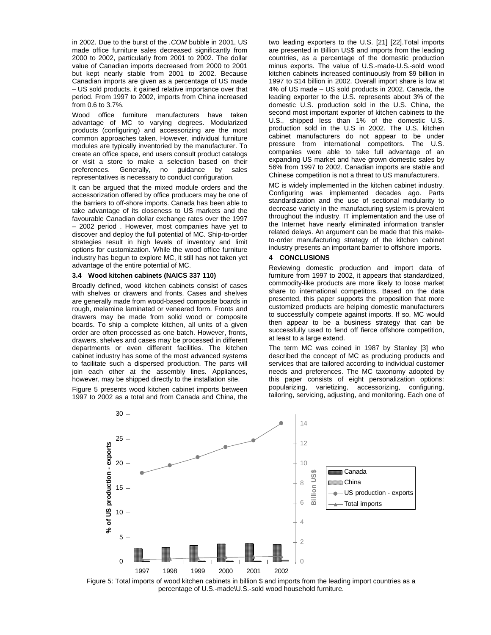in 2002. Due to the burst of the *.COM* bubble in 2001, US made office furniture sales decreased significantly from 2000 to 2002, particularly from 2001 to 2002. The dollar value of Canadian imports decreased from 2000 to 2001 but kept nearly stable from 2001 to 2002. Because Canadian imports are given as a percentage of US made – US sold products, it gained relative importance over that period. From 1997 to 2002, imports from China increased from 0.6 to 3.7%.

Wood office furniture manufacturers have taken advantage of MC to varying degrees. Modularized products (configuring) and accessorizing are the most common approaches taken. However, individual furniture modules are typically inventoried by the manufacturer. To create an office space, end users consult product catalogs or visit a store to make a selection based on their preferences. Generally, no guidance by sales representatives is necessary to conduct configuration.

It can be argued that the mixed module orders and the accessorization offered by office producers may be one of the barriers to off-shore imports. Canada has been able to take advantage of its closeness to US markets and the favourable Canadian dollar exchange rates over the 1997 – 2002 period . However, most companies have yet to discover and deploy the full potential of MC. Ship-to-order strategies result in high levels of inventory and limit options for customization. While the wood office furniture industry has begun to explore MC, it still has not taken yet advantage of the entire potential of MC.

#### **3.4 Wood kitchen cabinets (NAICS 337 110)**

Broadly defined, wood kitchen cabinets consist of cases with shelves or drawers and fronts. Cases and shelves are generally made from wood-based composite boards in rough, melamine laminated or veneered form. Fronts and drawers may be made from solid wood or composite boards. To ship a complete kitchen, all units of a given order are often processed as one batch. However, fronts, drawers, shelves and cases may be processed in different departments or even different facilities. The kitchen cabinet industry has some of the most advanced systems to facilitate such a dispersed production. The parts will join each other at the assembly lines. Appliances, however, may be shipped directly to the installation site.

Figure 5 presents wood kitchen cabinet imports between 1997 to 2002 as a total and from Canada and China, the two leading exporters to the U.S. [21] [22].Total imports are presented in Billion US\$ and imports from the leading countries, as a percentage of the domestic production minus exports. The value of U.S.-made-U.S.-sold wood kitchen cabinets increased continuously from \$9 billion in 1997 to \$14 billion in 2002. Overall import share is low at 4% of US made – US sold products in 2002. Canada, the leading exporter to the U.S. represents about 3% of the domestic U.S. production sold in the U.S. China, the second most important exporter of kitchen cabinets to the U.S., shipped less than 1% of the domestic U.S. production sold in the U.S in 2002. The U.S. kitchen cabinet manufacturers do not appear to be under pressure from international competitors. The U.S. companies were able to take full advantage of an expanding US market and have grown domestic sales by 56% from 1997 to 2002. Canadian imports are stable and Chinese competition is not a threat to US manufacturers.

MC is widely implemented in the kitchen cabinet industry. Configuring was implemented decades ago. Parts standardization and the use of sectional modularity to decrease variety in the manufacturing system is prevalent throughout the industry. IT implementation and the use of the Internet have nearly eliminated information transfer related delays. An argument can be made that this maketo-order manufacturing strategy of the kitchen cabinet industry presents an important barrier to offshore imports.

#### **4 CONCLUSIONS**

Reviewing domestic production and import data of furniture from 1997 to 2002, it appears that standardized, commodity-like products are more likely to loose market share to international competitors. Based on the data presented, this paper supports the proposition that more customized products are helping domestic manufacturers to successfully compete against imports. If so, MC would then appear to be a business strategy that can be successfully used to fend off fierce offshore competition, at least to a large extend.

The term MC was coined in 1987 by Stanley [3] who described the concept of MC as producing products and services that are tailored according to individual customer needs and preferences. The MC taxonomy adopted by this paper consists of eight personalization options: popularizing, varietizing, accessorizing, configuring, tailoring, servicing, adjusting, and monitoring. Each one of



Figure 5: Total imports of wood kitchen cabinets in billion \$ and imports from the leading import countries as a percentage of U.S.-made\U.S.-sold wood household furniture.